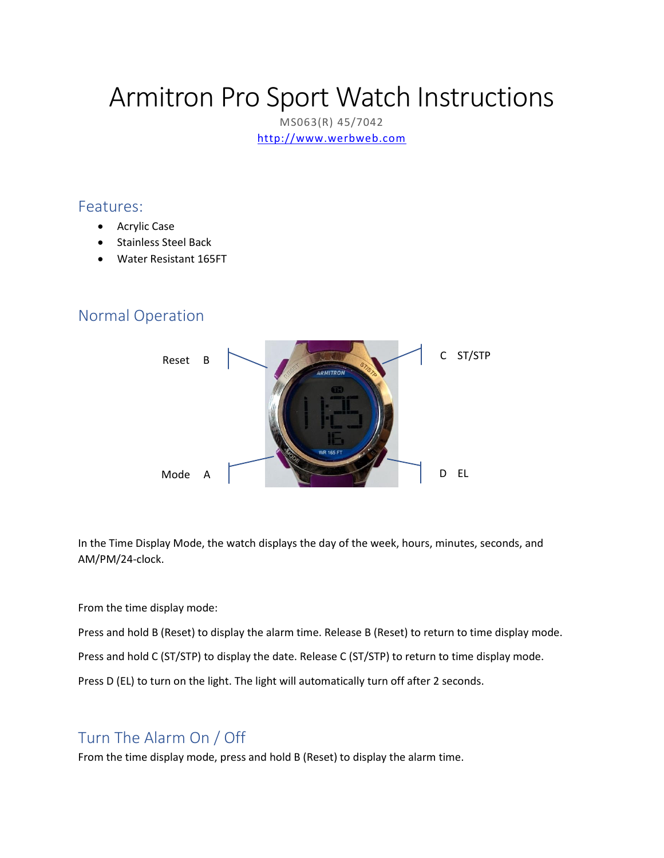# Armitron Pro Sport Watch Instructions

MS063(R) 45/7042 [http://www.werbweb.com](http://www.werbweb.com/)

#### Features:

- Acrylic Case
- Stainless Steel Back
- Water Resistant 165FT

### Normal Operation



In the Time Display Mode, the watch displays the day of the week, hours, minutes, seconds, and AM/PM/24-clock.

#### From the time display mode:

Press and hold B (Reset) to display the alarm time. Release B (Reset) to return to time display mode.

Press and hold C (ST/STP) to display the date. Release C (ST/STP) to return to time display mode.

Press D (EL) to turn on the light. The light will automatically turn off after 2 seconds.

# Turn The Alarm On / Off

From the time display mode, press and hold B (Reset) to display the alarm time.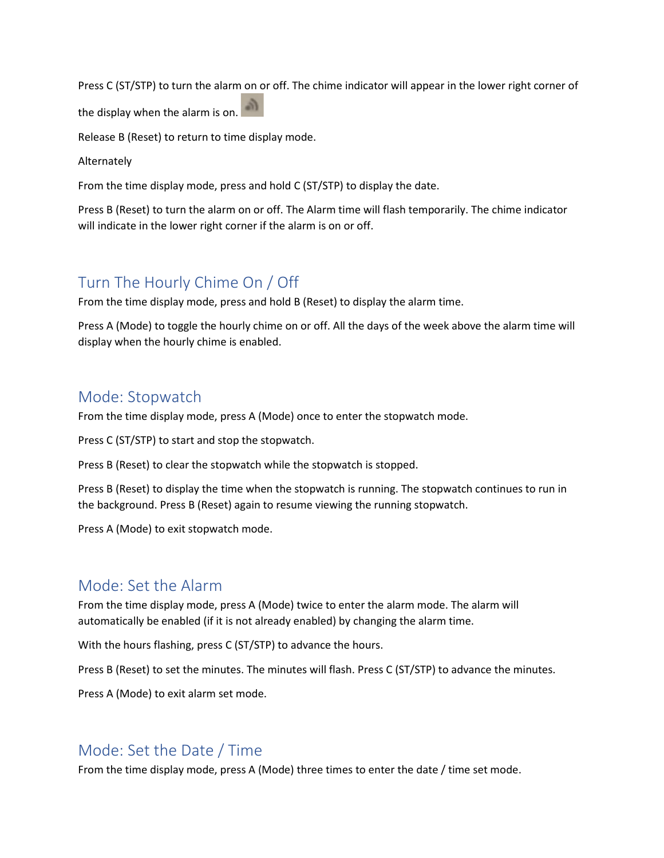Press C (ST/STP) to turn the alarm on or off. The chime indicator will appear in the lower right corner of

the display when the alarm is on.

Release B (Reset) to return to time display mode.

Alternately

From the time display mode, press and hold C (ST/STP) to display the date.

Press B (Reset) to turn the alarm on or off. The Alarm time will flash temporarily. The chime indicator will indicate in the lower right corner if the alarm is on or off.

### Turn The Hourly Chime On / Off

From the time display mode, press and hold B (Reset) to display the alarm time.

Press A (Mode) to toggle the hourly chime on or off. All the days of the week above the alarm time will display when the hourly chime is enabled.

#### Mode: Stopwatch

From the time display mode, press A (Mode) once to enter the stopwatch mode.

Press C (ST/STP) to start and stop the stopwatch.

Press B (Reset) to clear the stopwatch while the stopwatch is stopped.

Press B (Reset) to display the time when the stopwatch is running. The stopwatch continues to run in the background. Press B (Reset) again to resume viewing the running stopwatch.

Press A (Mode) to exit stopwatch mode.

#### Mode: Set the Alarm

From the time display mode, press A (Mode) twice to enter the alarm mode. The alarm will automatically be enabled (if it is not already enabled) by changing the alarm time.

With the hours flashing, press C (ST/STP) to advance the hours.

Press B (Reset) to set the minutes. The minutes will flash. Press C (ST/STP) to advance the minutes.

Press A (Mode) to exit alarm set mode.

#### Mode: Set the Date / Time

From the time display mode, press A (Mode) three times to enter the date / time set mode.